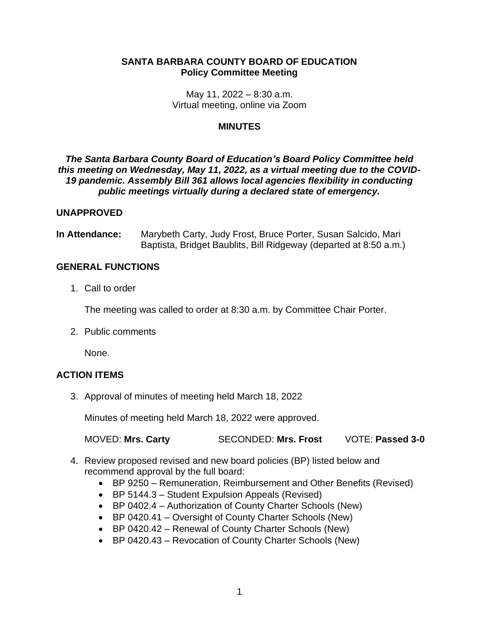# **SANTA BARBARA COUNTY BOARD OF EDUCATION Policy Committee Meeting**

May 11, 2022 – 8:30 a.m. Virtual meeting, online via Zoom

### **MINUTES**

# *The Santa Barbara County Board of Education's Board Policy Committee held this meeting on Wednesday, May 11, 2022, as a virtual meeting due to the COVID-19 pandemic. Assembly Bill 361 allows local agencies flexibility in conducting public meetings virtually during a declared state of emergency.*

### **UNAPPROVED**

**In Attendance:** Marybeth Carty, Judy Frost, Bruce Porter, Susan Salcido, Mari Baptista, Bridget Baublits, Bill Ridgeway (departed at 8:50 a.m.)

### **GENERAL FUNCTIONS**

1. Call to order

The meeting was called to order at 8:30 a.m. by Committee Chair Porter.

2. Public comments

None.

# **ACTION ITEMS**

3. Approval of minutes of meeting held March 18, 2022

Minutes of meeting held March 18, 2022 were approved.

MOVED: **Mrs. Carty** SECONDED: **Mrs. Frost** VOTE: **Passed 3-0**

- 4. Review proposed revised and new board policies (BP) listed below and recommend approval by the full board:
	- BP 9250 Remuneration, Reimbursement and Other Benefits (Revised)
	- BP 5144.3 Student Expulsion Appeals (Revised)
	- BP 0402.4 Authorization of County Charter Schools (New)
	- BP 0420.41 Oversight of County Charter Schools (New)
	- BP 0420.42 Renewal of County Charter Schools (New)
	- BP 0420.43 Revocation of County Charter Schools (New)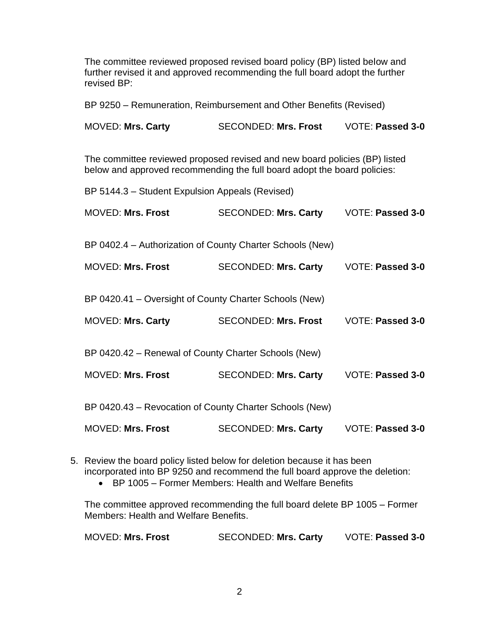The committee reviewed proposed revised board policy (BP) listed below and further revised it and approved recommending the full board adopt the further revised BP:

BP 9250 – Remuneration, Reimbursement and Other Benefits (Revised)

MOVED: **Mrs. Carty** SECONDED: **Mrs. Frost** VOTE: **Passed 3-0**

The committee reviewed proposed revised and new board policies (BP) listed below and approved recommending the full board adopt the board policies:

| BP 5144.3 - Student Expulsion Appeals (Revised)           |                             |                         |  |
|-----------------------------------------------------------|-----------------------------|-------------------------|--|
| <b>MOVED: Mrs. Frost</b>                                  | <b>SECONDED: Mrs. Carty</b> | VOTE: Passed 3-0        |  |
| BP 0402.4 – Authorization of County Charter Schools (New) |                             |                         |  |
| <b>MOVED: Mrs. Frost</b>                                  | <b>SECONDED: Mrs. Carty</b> | <b>VOTE: Passed 3-0</b> |  |
| BP 0420.41 – Oversight of County Charter Schools (New)    |                             |                         |  |
| <b>MOVED: Mrs. Carty</b>                                  | <b>SECONDED: Mrs. Frost</b> | VOTE: Passed 3-0        |  |
| BP 0420.42 - Renewal of County Charter Schools (New)      |                             |                         |  |
| <b>MOVED: Mrs. Frost</b>                                  | <b>SECONDED: Mrs. Carty</b> | VOTE: Passed 3-0        |  |
| BP 0420.43 – Revocation of County Charter Schools (New)   |                             |                         |  |
| <b>MOVED: Mrs. Frost</b>                                  | <b>SECONDED: Mrs. Carty</b> | <b>VOTE: Passed 3-0</b> |  |

5. Review the board policy listed below for deletion because it has been incorporated into BP 9250 and recommend the full board approve the deletion:

• BP 1005 – Former Members: Health and Welfare Benefits

The committee approved recommending the full board delete BP 1005 – Former Members: Health and Welfare Benefits.

| MOVED: <b>Mrs. Frost</b> | <b>SECONDED: Mrs. Carty</b> | <b>VOTE: Passed 3-0</b> |
|--------------------------|-----------------------------|-------------------------|
|--------------------------|-----------------------------|-------------------------|